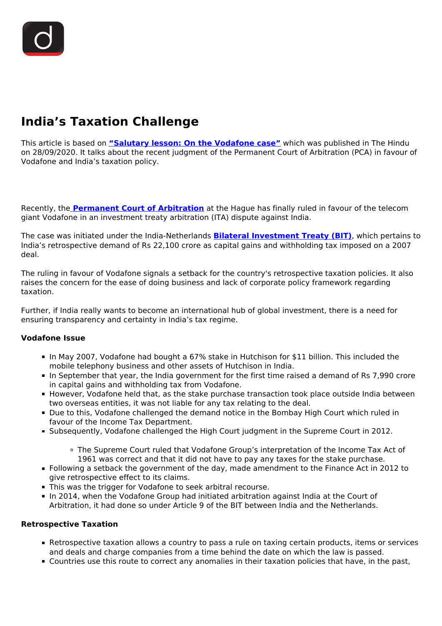# **India's Taxation Challenge**

This article is based on **["Salutary lesson: On the Vodafone case"](https://www.thehindu.com/opinion/editorial/salutary-lesson-the-hindu-editorial-on-the-vodafone-case/article32709724.ece)** which was published in The Hindu on 28/09/2020. It talks about the recent judgment of the Permanent Court of Arbitration (PCA) in favour of Vodafone and India's taxation policy.

Recently, the **[Permanent Court of Arbitration](/daily-updates/daily-news-analysis/pca-decision-on-retrospective-taxation-by-india)** at the Hague has finally ruled in favour of the telecom giant Vodafone in an investment treaty arbitration (ITA) dispute against India.

The case was initiated under the India-Netherlands **[Bilateral Investment Treaty \(BIT\)](/daily-updates/daily-news-editorials/model-bilateral-investment-treaty)**, which pertains to India's retrospective demand of Rs 22,100 crore as capital gains and withholding tax imposed on a 2007 deal.

The ruling in favour of Vodafone signals a setback for the country's retrospective taxation policies. It also raises the concern for the ease of doing business and lack of corporate policy framework regarding taxation.

Further, if India really wants to become an international hub of global investment, there is a need for ensuring transparency and certainty in India's tax regime.

#### **Vodafone Issue**

- In May 2007, Vodafone had bought a 67% stake in Hutchison for \$11 billion. This included the mobile telephony business and other assets of Hutchison in India.
- In September that year, the India government for the first time raised a demand of Rs 7,990 crore in capital gains and withholding tax from Vodafone.
- **However, Vodafone held that, as the stake purchase transaction took place outside India between** two overseas entities, it was not liable for any tax relating to the deal.
- Due to this, Vodafone challenged the demand notice in the Bombay High Court which ruled in favour of the Income Tax Department.
- Subsequently, Vodafone challenged the High Court judgment in the Supreme Court in 2012.
	- The Supreme Court ruled that Vodafone Group's interpretation of the Income Tax Act of 1961 was correct and that it did not have to pay any taxes for the stake purchase.
- Following a setback the government of the day, made amendment to the Finance Act in 2012 to give retrospective effect to its claims.
- This was the trigger for Vodafone to seek arbitral recourse.
- In 2014, when the Vodafone Group had initiated arbitration against India at the Court of Arbitration, it had done so under Article 9 of the BIT between India and the Netherlands.

#### **Retrospective Taxation**

- Retrospective taxation allows a country to pass a rule on taxing certain products, items or services and deals and charge companies from a time behind the date on which the law is passed.
- Countries use this route to correct any anomalies in their taxation policies that have, in the past,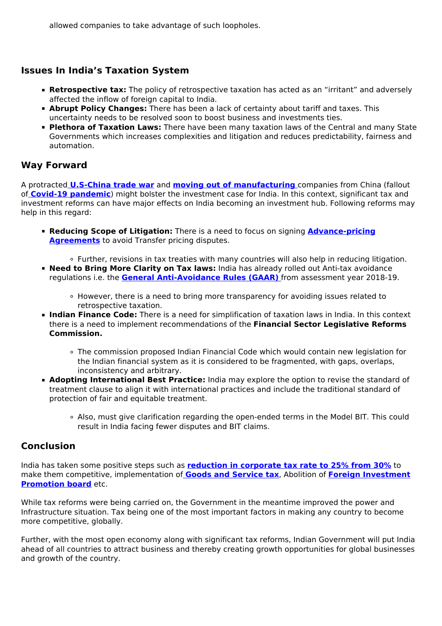allowed companies to take advantage of such loopholes.

# **Issues In India's Taxation System**

- **Retrospective tax:** The policy of retrospective taxation has acted as an "irritant" and adversely affected the inflow of foreign capital to India.
- **Abrupt Policy Changes:** There has been a lack of certainty about tariff and taxes. This uncertainty needs to be resolved soon to boost business and investments ties.
- **Plethora of Taxation Laws:** There have been many taxation laws of the Central and many State Governments which increases complexities and litigation and reduces predictability, fairness and automation.

# **Way Forward**

A protracted **[U.S-China trade war](/to-the-points/paper3/trade-war-6)** and **[moving out of manufacturing](/daily-updates/daily-news-editorials/magnets-for-manufacturing)** companies from China (fallout of **[Covid-19 pandemic](/daily-updates/daily-news-editorials/covid-19-and-india-1)**) might bolster the investment case for India. In this context, significant tax and investment reforms can have major effects on India becoming an investment hub. Following reforms may help in this regard:

- **Reducing Scope of Litigation:** There is a need to focus on signing **[Advance-pricing](/daily-updates/daily-news-analysis/important-facts-for-prelims-4th-april-2019) [Agreements](/daily-updates/daily-news-analysis/important-facts-for-prelims-4th-april-2019)** to avoid Transfer pricing disputes.
- Further, revisions in tax treaties with many countries will also help in reducing litigation. **Need to Bring More Clarity on Tax laws:** India has already rolled out Anti-tax avoidance regulations i.e. the **[General Anti-Avoidance Rules \(GAAR\)](/current-affairs-news-analysis-editorials/news-editorials/30-08-2019)** from assessment year 2018-19.
	- However, there is a need to bring more transparency for avoiding issues related to retrospective taxation.
- **Indian Finance Code:** There is a need for simplification of taxation laws in India. In this context there is a need to implement recommendations of the **Financial Sector Legislative Reforms Commission.**
	- The commission proposed Indian Financial Code which would contain new legislation for the Indian financial system as it is considered to be fragmented, with gaps, overlaps, inconsistency and arbitrary.
- **Adopting International Best Practice:** India may explore the option to revise the standard of treatment clause to align it with international practices and include the traditional standard of protection of fair and equitable treatment.
	- Also, must give clarification regarding the open-ended terms in the Model BIT. This could result in India facing fewer disputes and BIT claims.

### **Conclusion**

India has taken some positive steps such as **[reduction in corporate tax rate to 25% from 30%](/current-affairs-news-analysis-editorials/news-analysis/21-09-2019#:~:text=Corporate%20Tax%20Rate%20Slashed&text=The%20new%20effective%20tax%20rate,the%20current%20exemptions%20and%20incentives.)** to make them competitive, implementation of **[Goods and Service tax](/to-the-points/paper3/goods-and-services-tax-gst-1)**, Abolition of **[Foreign Investment](/daily-updates/daily-news-editorials/review-of-fdi-norms) [Promotion board](/daily-updates/daily-news-editorials/review-of-fdi-norms)** etc.

While tax reforms were being carried on, the Government in the meantime improved the power and Infrastructure situation. Tax being one of the most important factors in making any country to become more competitive, globally.

Further, with the most open economy along with significant tax reforms, Indian Government will put India ahead of all countries to attract business and thereby creating growth opportunities for global businesses and growth of the country.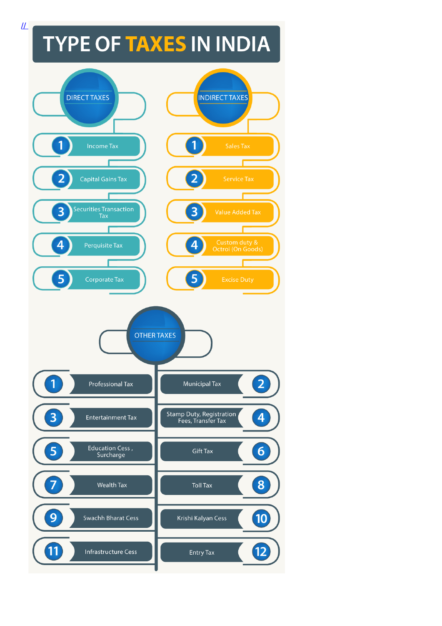# **TYPE OF TAXES IN INDIA**



 $\mu$